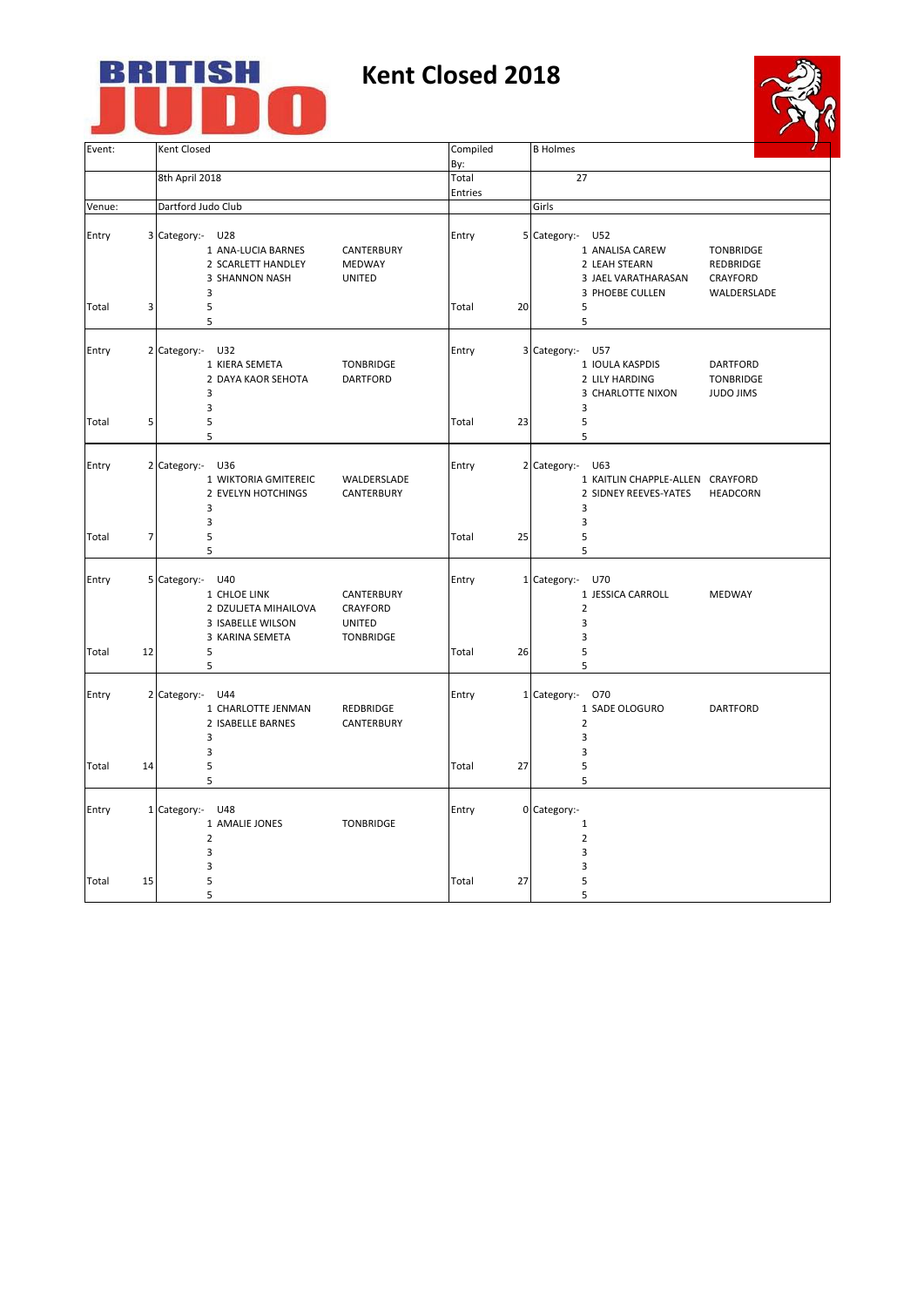## **BRITISH<br>JUDO** J

## **Kent Closed 2018**



| Event:         |    | Kent Closed                                                                                                                                                                      | Compiled       |    | <b>B</b> Holmes                                                                                                                                                   |  |
|----------------|----|----------------------------------------------------------------------------------------------------------------------------------------------------------------------------------|----------------|----|-------------------------------------------------------------------------------------------------------------------------------------------------------------------|--|
|                |    |                                                                                                                                                                                  | By:<br>Total   |    | 27                                                                                                                                                                |  |
|                |    | 8th April 2018                                                                                                                                                                   |                |    |                                                                                                                                                                   |  |
|                |    |                                                                                                                                                                                  | Entries        |    |                                                                                                                                                                   |  |
| Venue:         |    | Dartford Judo Club                                                                                                                                                               |                |    | Girls                                                                                                                                                             |  |
| Entry          |    | 3 Category:- U28<br>1 ANA-LUCIA BARNES<br>CANTERBURY<br>2 SCARLETT HANDLEY<br>MEDWAY<br>3 SHANNON NASH<br><b>UNITED</b><br>3                                                     | Entry          |    | 5 Category:- U52<br>1 ANALISA CAREW<br><b>TONBRIDGE</b><br>2 LEAH STEARN<br>REDBRIDGE<br>3 JAEL VARATHARASAN<br><b>CRAYFORD</b><br>3 PHOEBE CULLEN<br>WALDERSLADE |  |
| Total          | 3  | 5<br>5                                                                                                                                                                           | Total          | 20 | 5<br>5                                                                                                                                                            |  |
| Entry          |    | 2 Category:- U32<br>1 KIERA SEMETA<br><b>TONBRIDGE</b><br>2 DAYA KAOR SEHOTA<br><b>DARTFORD</b><br>3<br>3                                                                        | Entry          |    | 3 Category:- U57<br>1 IOULA KASPDIS<br><b>DARTFORD</b><br>2 LILY HARDING<br><b>TONBRIDGE</b><br>3 CHARLOTTE NIXON<br><b>JUDO JIMS</b><br>3                        |  |
| Total          | 5  | 5<br>5                                                                                                                                                                           | Total          | 23 | 5<br>5                                                                                                                                                            |  |
| Entry          |    | 2 Category:- U36<br>1 WIKTORIA GMITEREIC<br>WALDERSLADE<br>2 EVELYN HOTCHINGS<br>CANTERBURY<br>3<br>3                                                                            | Entry          |    | 2 Category:-<br>U63<br>1 KAITLIN CHAPPLE-ALLEN CRAYFORD<br>2 SIDNEY REEVES-YATES<br><b>HEADCORN</b><br>3<br>3                                                     |  |
| Total          | 7  | 5<br>5                                                                                                                                                                           | Total          | 25 | 5<br>5                                                                                                                                                            |  |
| Entry<br>Total | 12 | 5 Category:- U40<br>1 CHLOE LINK<br>CANTERBURY<br>2 DZULJETA MIHAILOVA<br><b>CRAYFORD</b><br>3 ISABELLE WILSON<br><b>UNITED</b><br>3 KARINA SEMETA<br><b>TONBRIDGE</b><br>5<br>5 | Entry<br>Total | 26 | 1 Category:- U70<br>1 JESSICA CARROLL<br><b>MEDWAY</b><br>$\overline{2}$<br>3<br>3<br>5<br>5                                                                      |  |
| Entry          |    | 2 Category:- U44<br>1 CHARLOTTE JENMAN<br>REDBRIDGE<br>2 ISABELLE BARNES<br>CANTERBURY<br>3<br>3                                                                                 | Entry          |    | 1 Category:- 070<br>1 SADE OLOGURO<br><b>DARTFORD</b><br>$\overline{2}$<br>3<br>3                                                                                 |  |
| Total          | 14 | 5<br>5                                                                                                                                                                           | Total          | 27 | 5<br>5                                                                                                                                                            |  |
| Entry          |    | 1 Category :- U48<br>1 AMALIE JONES<br><b>TONBRIDGE</b><br>$\overline{2}$<br>3<br>3                                                                                              | Entry          |    | 0 Category:-<br>1<br>$\overline{2}$<br>3<br>3                                                                                                                     |  |
| Total          | 15 | 5<br>5                                                                                                                                                                           | Total          | 27 | 5<br>5                                                                                                                                                            |  |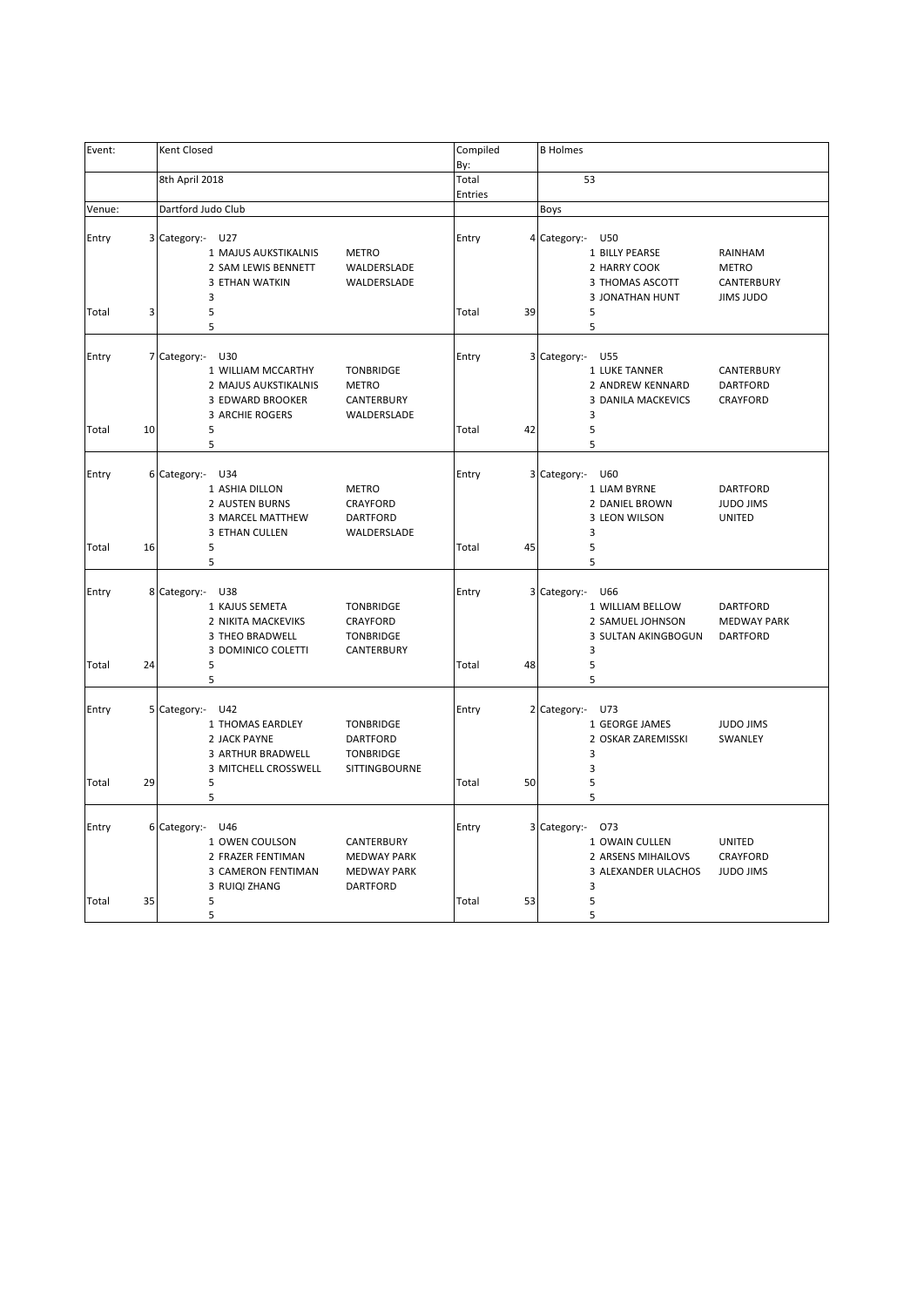| Event:         |    | Kent Closed                                                                                                     |                                                                           | Compiled       |    | <b>B</b> Holmes                                                                                                                                     |
|----------------|----|-----------------------------------------------------------------------------------------------------------------|---------------------------------------------------------------------------|----------------|----|-----------------------------------------------------------------------------------------------------------------------------------------------------|
|                |    |                                                                                                                 |                                                                           | By:            |    |                                                                                                                                                     |
|                |    | 8th April 2018                                                                                                  |                                                                           | Total          |    | 53                                                                                                                                                  |
|                |    |                                                                                                                 |                                                                           | Entries        |    |                                                                                                                                                     |
| Venue:         |    | Dartford Judo Club                                                                                              |                                                                           |                |    | Boys                                                                                                                                                |
| Entry          |    | 3 Category:- U27<br>1 MAJUS AUKSTIKALNIS<br>2 SAM LEWIS BENNETT<br>3 ETHAN WATKIN<br>3                          | <b>METRO</b><br>WALDERSLADE<br>WALDERSLADE                                | Entry          |    | 4 Category:- U50<br>RAINHAM<br>1 BILLY PEARSE<br>2 HARRY COOK<br><b>METRO</b><br>3 THOMAS ASCOTT<br>CANTERBURY<br>3 JONATHAN HUNT<br>JIMS JUDO      |
| Total          | 3  | 5<br>5                                                                                                          |                                                                           | Total          | 39 | 5<br>5                                                                                                                                              |
| Entry<br>Total | 10 | 7 Category:- U30<br>1 WILLIAM MCCARTHY<br>2 MAJUS AUKSTIKALNIS<br>3 EDWARD BROOKER<br>3 ARCHIE ROGERS<br>5<br>5 | <b>TONBRIDGE</b><br><b>METRO</b><br>CANTERBURY<br>WALDERSLADE             | Entry<br>Total | 42 | 3 Category:- U55<br>1 LUKE TANNER<br>CANTERBURY<br>2 ANDREW KENNARD<br><b>DARTFORD</b><br>CRAYFORD<br>3 DANILA MACKEVICS<br>3<br>5<br>5             |
| Entry<br>Total | 16 | 6 Category:- U34<br>1 ASHIA DILLON<br>2 AUSTEN BURNS<br>3 MARCEL MATTHEW<br>3 ETHAN CULLEN<br>5<br>5            | <b>METRO</b><br>CRAYFORD<br>DARTFORD<br>WALDERSLADE                       | Entry<br>Total | 45 | 3 Category:- U60<br>1 LIAM BYRNE<br><b>DARTFORD</b><br>2 DANIEL BROWN<br><b>JUDO JIMS</b><br>3 LEON WILSON<br><b>UNITED</b><br>3<br>5<br>5          |
| Entry<br>Total | 24 | 8 Category:- U38<br>1 KAJUS SEMETA<br>2 NIKITA MACKEVIKS<br>3 THEO BRADWELL<br>3 DOMINICO COLETTI<br>5<br>5     | <b>TONBRIDGE</b><br>CRAYFORD<br><b>TONBRIDGE</b><br>CANTERBURY            | Entry<br>Total | 48 | 3 Category:- U66<br>1 WILLIAM BELLOW<br>DARTFORD<br>2 SAMUEL JOHNSON<br><b>MEDWAY PARK</b><br>3 SULTAN AKINGBOGUN<br><b>DARTFORD</b><br>3<br>5<br>5 |
| Entry<br>Total | 29 | 5 Category:- U42<br>1 THOMAS EARDLEY<br>2 JACK PAYNE<br>3 ARTHUR BRADWELL<br>3 MITCHELL CROSSWELL<br>5<br>5     | TONBRIDGE<br>DARTFORD<br><b>TONBRIDGE</b><br>SITTINGBOURNE                | Entry<br>Total | 50 | 2 Category:- U73<br>1 GEORGE JAMES<br><b>JUDO JIMS</b><br>2 OSKAR ZAREMISSKI<br>SWANLEY<br>3<br>3<br>5<br>5                                         |
| Entry<br>Total | 35 | 6 Category:- U46<br>1 OWEN COULSON<br>2 FRAZER FENTIMAN<br>3 CAMERON FENTIMAN<br>3 RUIQI ZHANG<br>5             | CANTERBURY<br><b>MEDWAY PARK</b><br><b>MEDWAY PARK</b><br><b>DARTFORD</b> | Entry<br>Total | 53 | 3 Category:-<br>073<br>1 OWAIN CULLEN<br><b>UNITED</b><br>2 ARSENS MIHAILOVS<br>CRAYFORD<br>3 ALEXANDER ULACHOS<br><b>JUDO JIMS</b><br>3<br>5       |
|                |    | 5                                                                                                               |                                                                           |                |    | 5                                                                                                                                                   |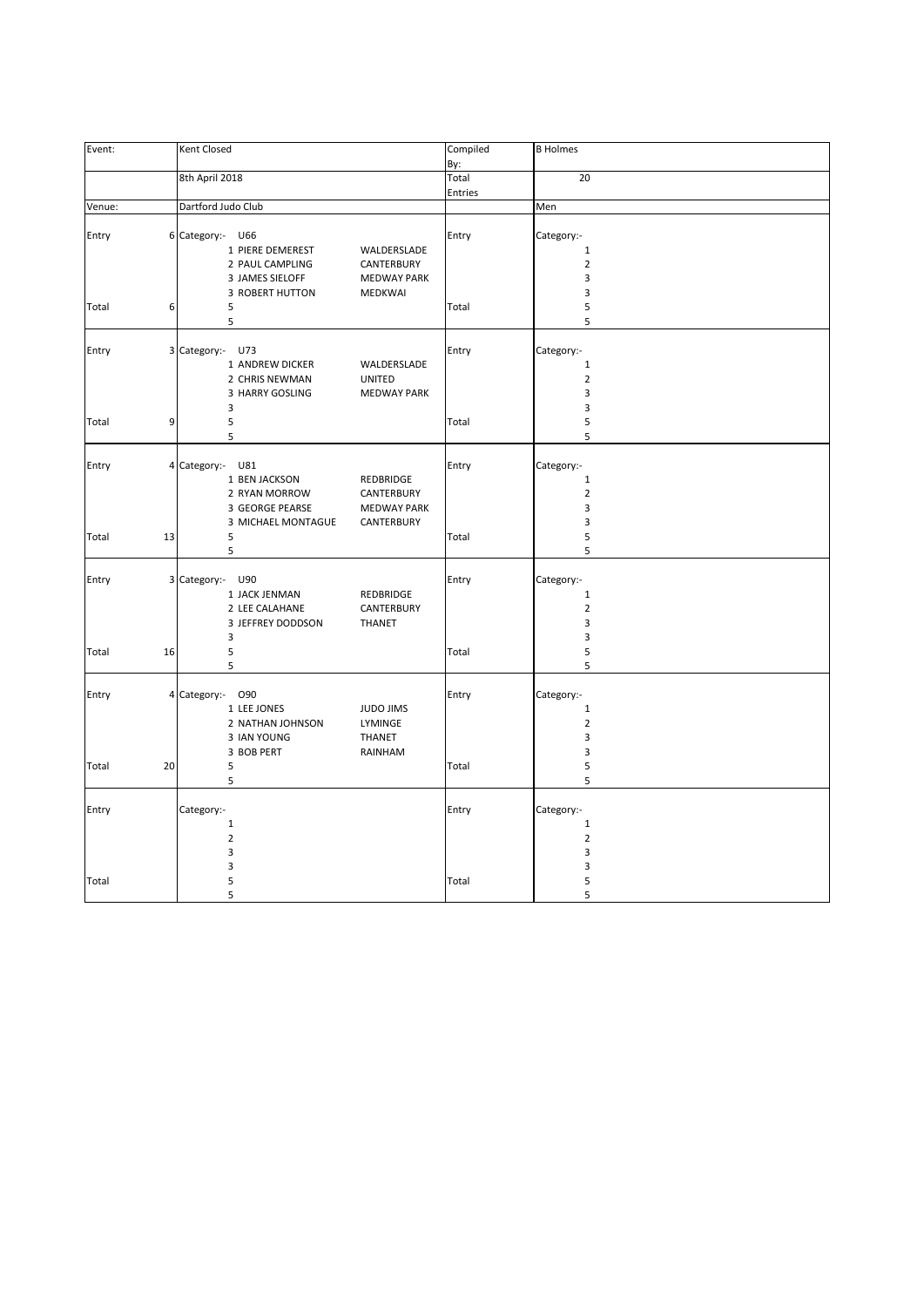| Event: | Kent Closed                        | Compiled           | <b>B</b> Holmes |
|--------|------------------------------------|--------------------|-----------------|
|        |                                    | By:                |                 |
|        | 8th April 2018                     | Total              | 20              |
|        |                                    | Entries            |                 |
| Venue: | Dartford Judo Club                 |                    | Men             |
|        |                                    |                    |                 |
| Entry  | 6 Category:- U66                   | Entry              | Category:-      |
|        | 1 PIERE DEMEREST                   | WALDERSLADE        | $\mathbf 1$     |
|        | 2 PAUL CAMPLING                    | CANTERBURY         | $\overline{2}$  |
|        |                                    | <b>MEDWAY PARK</b> | 3               |
|        | 3 JAMES SIELOFF                    |                    |                 |
|        | <b>3 ROBERT HUTTON</b>             | <b>MEDKWAI</b>     | 3               |
| Total  | 6<br>5                             | Total              | 5               |
|        | 5                                  |                    | 5               |
|        |                                    |                    |                 |
| Entry  | 3 Category:- U73                   | Entry              | Category:-      |
|        | 1 ANDREW DICKER                    | WALDERSLADE        | $\mathbf 1$     |
|        | 2 CHRIS NEWMAN<br><b>UNITED</b>    |                    | $\overline{2}$  |
|        | 3 HARRY GOSLING                    | <b>MEDWAY PARK</b> | 3               |
|        | 3                                  |                    | 3               |
| Total  | 5<br>9                             | Total              | 5               |
|        | 5                                  |                    | 5               |
|        |                                    |                    |                 |
| Entry  | 4 Category:- U81                   | Entry              | Category:-      |
|        | 1 BEN JACKSON                      | REDBRIDGE          | $\mathbf 1$     |
|        | 2 RYAN MORROW                      | CANTERBURY         | $\overline{2}$  |
|        | 3 GEORGE PEARSE                    | <b>MEDWAY PARK</b> | 3               |
|        | 3 MICHAEL MONTAGUE                 | CANTERBURY         | 3               |
|        |                                    |                    | 5               |
| Total  | 5<br>13                            | Total              |                 |
|        | 5                                  |                    | 5               |
|        |                                    |                    |                 |
| Entry  | 3 Category:- U90                   | Entry              | Category:-      |
|        | 1 JACK JENMAN                      | REDBRIDGE          | $\mathbf{1}$    |
|        | 2 LEE CALAHANE                     | CANTERBURY         | $\overline{2}$  |
|        | 3 JEFFREY DODDSON<br><b>THANET</b> |                    | 3               |
|        | 3                                  |                    | 3               |
| Total  | 16<br>5                            | Total              | 5               |
|        | 5                                  |                    | 5               |
|        |                                    |                    |                 |
| Entry  | 4 Category:- 090                   | Entry              | Category:-      |
|        | 1 LEE JONES                        | <b>JUDO JIMS</b>   | $\mathbf{1}$    |
|        | 2 NATHAN JOHNSON                   | LYMINGE            | $\overline{2}$  |
|        | 3 IAN YOUNG<br>THANET              |                    | 3               |
|        | 3 BOB PERT                         | RAINHAM            | 3               |
| Total  | 20<br>5                            | Total              | 5               |
|        | 5                                  |                    | 5               |
|        |                                    |                    |                 |
| Entry  | Category:-                         | Entry              | Category:-      |
|        | $\mathbf 1$                        |                    | $\mathbf 1$     |
|        |                                    |                    |                 |
|        | $\overline{2}$                     |                    | $\mathbf 2$     |
|        | 3                                  |                    | 3               |
|        | 3                                  |                    | 3               |
| Total  | 5                                  | Total              | 5               |
|        | 5                                  |                    | 5               |